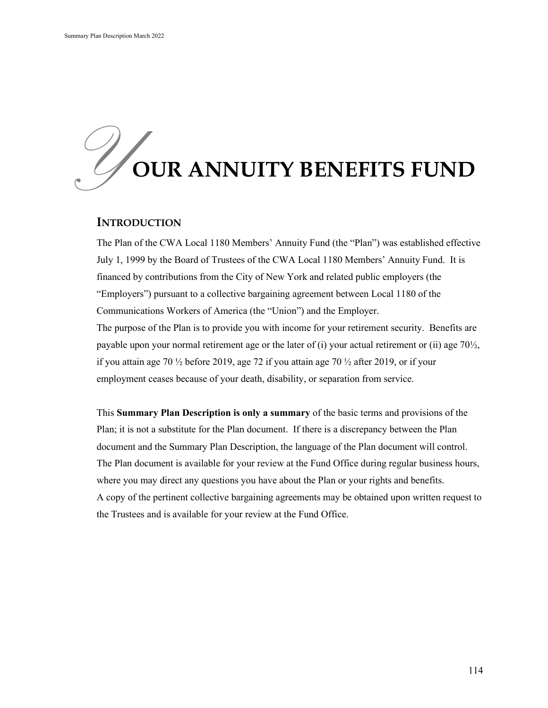# *Y* **OUR ANNUITY BENEFITS FUND**

#### **INTRODUCTION**

The Plan of the CWA Local 1180 Members' Annuity Fund (the "Plan") was established effective July 1, 1999 by the Board of Trustees of the CWA Local 1180 Members' Annuity Fund. It is financed by contributions from the City of New York and related public employers (the "Employers") pursuant to a collective bargaining agreement between Local 1180 of the Communications Workers of America (the "Union") and the Employer. The purpose of the Plan is to provide you with income for your retirement security. Benefits are payable upon your normal retirement age or the later of (i) your actual retirement or (ii) age  $70\frac{1}{2}$ , if you attain age 70  $\frac{1}{2}$  before 2019, age 72 if you attain age 70  $\frac{1}{2}$  after 2019, or if your employment ceases because of your death, disability, or separation from service.

This **Summary Plan Description is only a summary** of the basic terms and provisions of the Plan; it is not a substitute for the Plan document. If there is a discrepancy between the Plan document and the Summary Plan Description, the language of the Plan document will control. The Plan document is available for your review at the Fund Office during regular business hours, where you may direct any questions you have about the Plan or your rights and benefits. A copy of the pertinent collective bargaining agreements may be obtained upon written request to the Trustees and is available for your review at the Fund Office.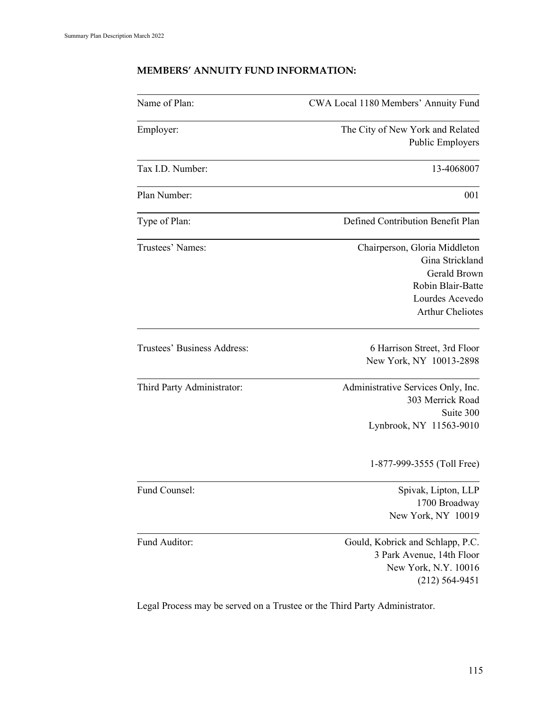# **MEMBERS' ANNUITY FUND INFORMATION:**

| Name of Plan:               | CWA Local 1180 Members' Annuity Fund                                                                                                |
|-----------------------------|-------------------------------------------------------------------------------------------------------------------------------------|
| Employer:                   | The City of New York and Related                                                                                                    |
|                             | Public Employers                                                                                                                    |
| Tax I.D. Number:            | 13-4068007                                                                                                                          |
| Plan Number:                | 001                                                                                                                                 |
| Type of Plan:               | Defined Contribution Benefit Plan                                                                                                   |
| Trustees' Names:            | Chairperson, Gloria Middleton<br>Gina Strickland<br>Gerald Brown<br>Robin Blair-Batte<br>Lourdes Acevedo<br><b>Arthur Cheliotes</b> |
| Trustees' Business Address: | 6 Harrison Street, 3rd Floor<br>New York, NY 10013-2898                                                                             |
| Third Party Administrator:  | Administrative Services Only, Inc.<br>303 Merrick Road<br>Suite 300<br>Lynbrook, NY 11563-9010                                      |
|                             | 1-877-999-3555 (Toll Free)                                                                                                          |
| Fund Counsel:               | Spivak, Lipton, LLP<br>1700 Broadway<br>New York, NY 10019                                                                          |
| Fund Auditor:               | Gould, Kobrick and Schlapp, P.C.<br>3 Park Avenue, 14th Floor<br>New York, N.Y. 10016<br>$(212) 564 - 9451$                         |

Legal Process may be served on a Trustee or the Third Party Administrator.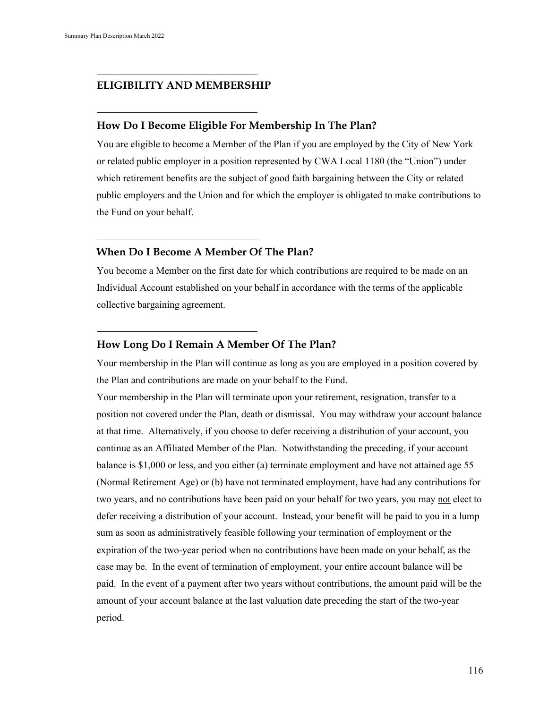#### **ELIGIBILITY AND MEMBERSHIP**

#### **How Do I Become Eligible For Membership In The Plan?**

You are eligible to become a Member of the Plan if you are employed by the City of New York or related public employer in a position represented by CWA Local 1180 (the "Union") under which retirement benefits are the subject of good faith bargaining between the City or related public employers and the Union and for which the employer is obligated to make contributions to the Fund on your behalf.

#### **When Do I Become A Member Of The Plan?**

You become a Member on the first date for which contributions are required to be made on an Individual Account established on your behalf in accordance with the terms of the applicable collective bargaining agreement.

#### **How Long Do I Remain A Member Of The Plan?**

Your membership in the Plan will continue as long as you are employed in a position covered by the Plan and contributions are made on your behalf to the Fund.

Your membership in the Plan will terminate upon your retirement, resignation, transfer to a position not covered under the Plan, death or dismissal. You may withdraw your account balance at that time. Alternatively, if you choose to defer receiving a distribution of your account, you continue as an Affiliated Member of the Plan. Notwithstanding the preceding, if your account balance is \$1,000 or less, and you either (a) terminate employment and have not attained age 55 (Normal Retirement Age) or (b) have not terminated employment, have had any contributions for two years, and no contributions have been paid on your behalf for two years, you may not elect to defer receiving a distribution of your account. Instead, your benefit will be paid to you in a lump sum as soon as administratively feasible following your termination of employment or the expiration of the two-year period when no contributions have been made on your behalf, as the case may be. In the event of termination of employment, your entire account balance will be paid. In the event of a payment after two years without contributions, the amount paid will be the amount of your account balance at the last valuation date preceding the start of the two-year period.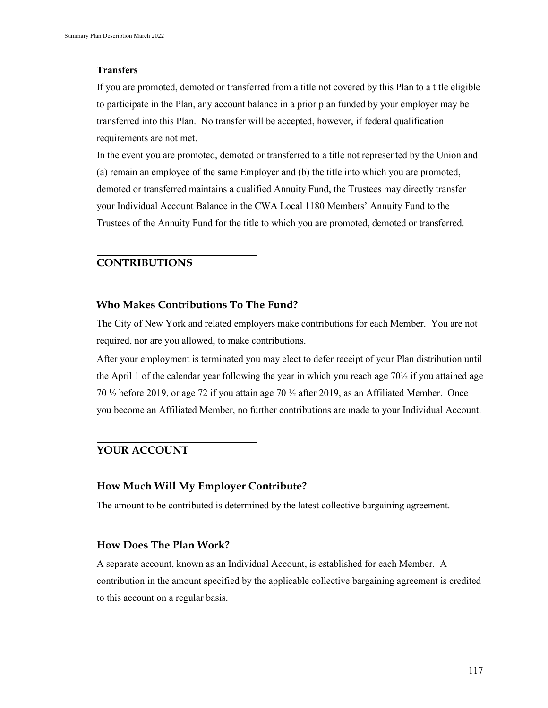#### **Transfers**

If you are promoted, demoted or transferred from a title not covered by this Plan to a title eligible to participate in the Plan, any account balance in a prior plan funded by your employer may be transferred into this Plan. No transfer will be accepted, however, if federal qualification requirements are not met.

In the event you are promoted, demoted or transferred to a title not represented by the Union and (a) remain an employee of the same Employer and (b) the title into which you are promoted, demoted or transferred maintains a qualified Annuity Fund, the Trustees may directly transfer your Individual Account Balance in the CWA Local 1180 Members' Annuity Fund to the Trustees of the Annuity Fund for the title to which you are promoted, demoted or transferred.

## **CONTRIBUTIONS**

## **Who Makes Contributions To The Fund?**

The City of New York and related employers make contributions for each Member. You are not required, nor are you allowed, to make contributions.

After your employment is terminated you may elect to defer receipt of your Plan distribution until the April 1 of the calendar year following the year in which you reach age  $70\frac{1}{2}$  if you attained age 70 ½ before 2019, or age 72 if you attain age 70 ½ after 2019, as an Affiliated Member. Once you become an Affiliated Member, no further contributions are made to your Individual Account.

# **YOUR ACCOUNT**

# **How Much Will My Employer Contribute?**

The amount to be contributed is determined by the latest collective bargaining agreement.

## **How Does The Plan Work?**

A separate account, known as an Individual Account, is established for each Member. A contribution in the amount specified by the applicable collective bargaining agreement is credited to this account on a regular basis.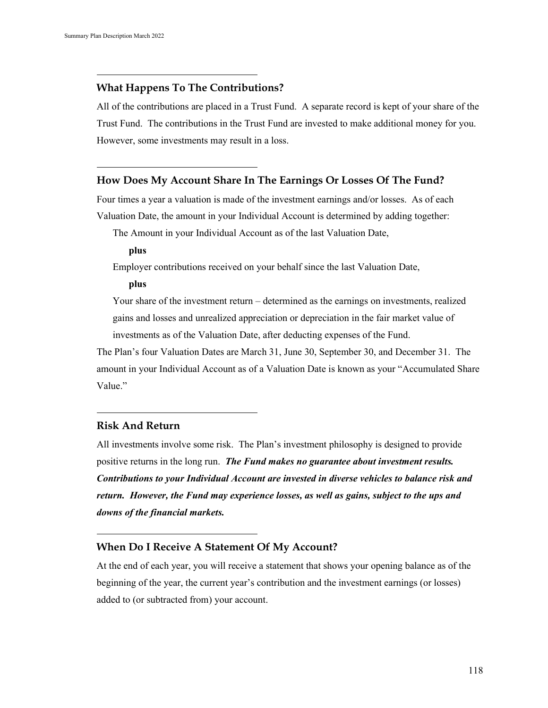## **What Happens To The Contributions?**

All of the contributions are placed in a Trust Fund. A separate record is kept of your share of the Trust Fund. The contributions in the Trust Fund are invested to make additional money for you. However, some investments may result in a loss.

#### **How Does My Account Share In The Earnings Or Losses Of The Fund?**

Four times a year a valuation is made of the investment earnings and/or losses. As of each Valuation Date, the amount in your Individual Account is determined by adding together:

The Amount in your Individual Account as of the last Valuation Date,

**plus**

Employer contributions received on your behalf since the last Valuation Date,

**plus**

Your share of the investment return – determined as the earnings on investments, realized gains and losses and unrealized appreciation or depreciation in the fair market value of investments as of the Valuation Date, after deducting expenses of the Fund.

The Plan's four Valuation Dates are March 31, June 30, September 30, and December 31. The amount in your Individual Account as of a Valuation Date is known as your "Accumulated Share Value."

## **Risk And Return**

All investments involve some risk. The Plan's investment philosophy is designed to provide positive returns in the long run. *The Fund makes no guarantee about investment results. Contributions to your Individual Account are invested in diverse vehicles to balance risk and return. However, the Fund may experience losses, as well as gains, subject to the ups and downs of the financial markets.*

## **When Do I Receive A Statement Of My Account?**

At the end of each year, you will receive a statement that shows your opening balance as of the beginning of the year, the current year's contribution and the investment earnings (or losses) added to (or subtracted from) your account.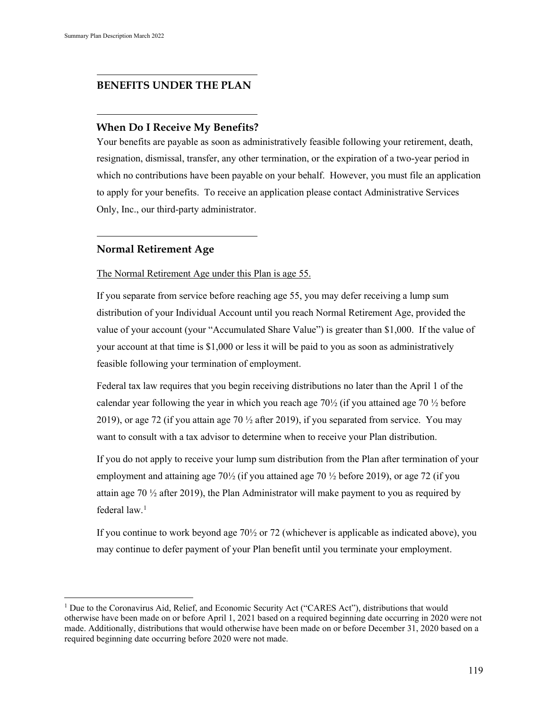#### **BENEFITS UNDER THE PLAN**

#### **When Do I Receive My Benefits?**

Your benefits are payable as soon as administratively feasible following your retirement, death, resignation, dismissal, transfer, any other termination, or the expiration of a two-year period in which no contributions have been payable on your behalf. However, you must file an application to apply for your benefits. To receive an application please contact Administrative Services Only, Inc., our third-party administrator.

#### **Normal Retirement Age**

#### The Normal Retirement Age under this Plan is age 55.

If you separate from service before reaching age 55, you may defer receiving a lump sum distribution of your Individual Account until you reach Normal Retirement Age, provided the value of your account (your "Accumulated Share Value") is greater than \$1,000. If the value of your account at that time is \$1,000 or less it will be paid to you as soon as administratively feasible following your termination of employment.

Federal tax law requires that you begin receiving distributions no later than the April 1 of the calendar year following the year in which you reach age  $70\frac{1}{2}$  (if you attained age  $70\frac{1}{2}$  before 2019), or age 72 (if you attain age 70  $\frac{1}{2}$  after 2019), if you separated from service. You may want to consult with a tax advisor to determine when to receive your Plan distribution.

If you do not apply to receive your lump sum distribution from the Plan after termination of your employment and attaining age  $70\frac{1}{2}$  (if you attained age 70  $\frac{1}{2}$  before 2019), or age 72 (if you attain age 70  $\frac{1}{2}$  after 2019), the Plan Administrator will make payment to you as required by federal  $law<sup>1</sup>$ 

If you continue to work beyond age  $70\frac{1}{2}$  or 72 (whichever is applicable as indicated above), you may continue to defer payment of your Plan benefit until you terminate your employment.

<span id="page-5-0"></span><sup>&</sup>lt;sup>1</sup> Due to the Coronavirus Aid, Relief, and Economic Security Act ("CARES Act"), distributions that would otherwise have been made on or before April 1, 2021 based on a required beginning date occurring in 2020 were not made. Additionally, distributions that would otherwise have been made on or before December 31, 2020 based on a required beginning date occurring before 2020 were not made.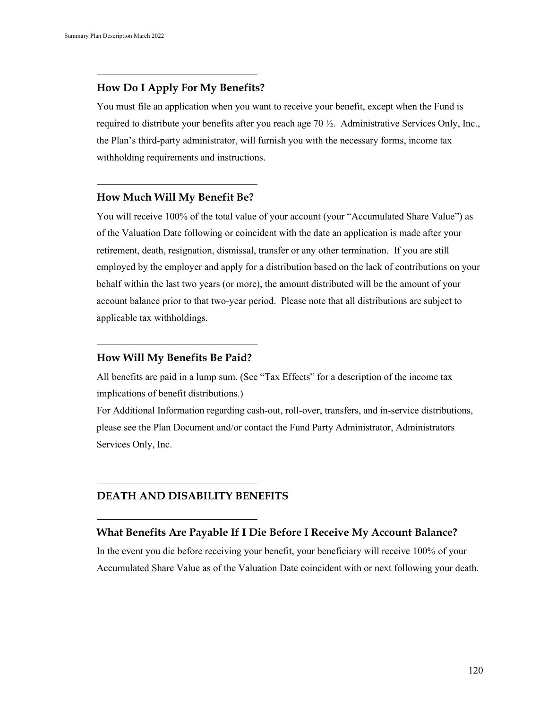## **How Do I Apply For My Benefits?**

You must file an application when you want to receive your benefit, except when the Fund is required to distribute your benefits after you reach age 70 ½. Administrative Services Only, Inc., the Plan's third-party administrator, will furnish you with the necessary forms, income tax withholding requirements and instructions.

#### **How Much Will My Benefit Be?**

You will receive 100% of the total value of your account (your "Accumulated Share Value") as of the Valuation Date following or coincident with the date an application is made after your retirement, death, resignation, dismissal, transfer or any other termination. If you are still employed by the employer and apply for a distribution based on the lack of contributions on your behalf within the last two years (or more), the amount distributed will be the amount of your account balance prior to that two-year period. Please note that all distributions are subject to applicable tax withholdings.

## **How Will My Benefits Be Paid?**

All benefits are paid in a lump sum. (See "Tax Effects" for a description of the income tax implications of benefit distributions.)

For Additional Information regarding cash-out, roll-over, transfers, and in-service distributions, please see the Plan Document and/or contact the Fund Party Administrator, Administrators Services Only, Inc.

# **DEATH AND DISABILITY BENEFITS**

## **What Benefits Are Payable If I Die Before I Receive My Account Balance?**

In the event you die before receiving your benefit, your beneficiary will receive 100% of your Accumulated Share Value as of the Valuation Date coincident with or next following your death.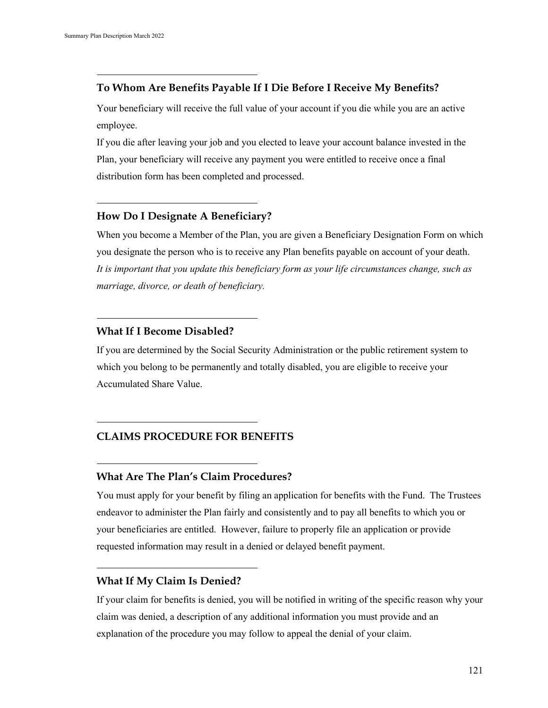## **To Whom Are Benefits Payable If I Die Before I Receive My Benefits?**

Your beneficiary will receive the full value of your account if you die while you are an active employee.

If you die after leaving your job and you elected to leave your account balance invested in the Plan, your beneficiary will receive any payment you were entitled to receive once a final distribution form has been completed and processed.

# **How Do I Designate A Beneficiary?**

When you become a Member of the Plan, you are given a Beneficiary Designation Form on which you designate the person who is to receive any Plan benefits payable on account of your death. *It is important that you update this beneficiary form as your life circumstances change, such as marriage, divorce, or death of beneficiary.*

#### **What If I Become Disabled?**

If you are determined by the Social Security Administration or the public retirement system to which you belong to be permanently and totally disabled, you are eligible to receive your Accumulated Share Value.

## **CLAIMS PROCEDURE FOR BENEFITS**

## **What Are The Plan's Claim Procedures?**

You must apply for your benefit by filing an application for benefits with the Fund. The Trustees endeavor to administer the Plan fairly and consistently and to pay all benefits to which you or your beneficiaries are entitled. However, failure to properly file an application or provide requested information may result in a denied or delayed benefit payment.

## **What If My Claim Is Denied?**

If your claim for benefits is denied, you will be notified in writing of the specific reason why your claim was denied, a description of any additional information you must provide and an explanation of the procedure you may follow to appeal the denial of your claim.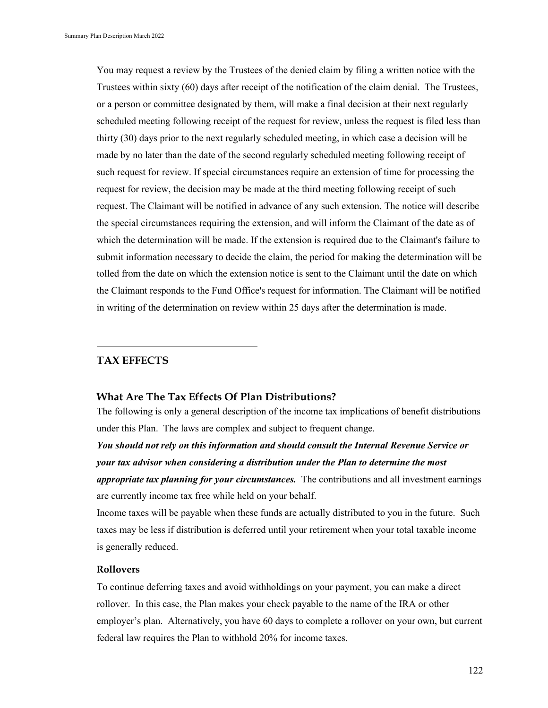You may request a review by the Trustees of the denied claim by filing a written notice with the Trustees within sixty (60) days after receipt of the notification of the claim denial. The Trustees, or a person or committee designated by them, will make a final decision at their next regularly scheduled meeting following receipt of the request for review, unless the request is filed less than thirty (30) days prior to the next regularly scheduled meeting, in which case a decision will be made by no later than the date of the second regularly scheduled meeting following receipt of such request for review. If special circumstances require an extension of time for processing the request for review, the decision may be made at the third meeting following receipt of such request. The Claimant will be notified in advance of any such extension. The notice will describe the special circumstances requiring the extension, and will inform the Claimant of the date as of which the determination will be made. If the extension is required due to the Claimant's failure to submit information necessary to decide the claim, the period for making the determination will be tolled from the date on which the extension notice is sent to the Claimant until the date on which the Claimant responds to the Fund Office's request for information. The Claimant will be notified in writing of the determination on review within 25 days after the determination is made.

# **TAX EFFECTS**

#### **What Are The Tax Effects Of Plan Distributions?**

The following is only a general description of the income tax implications of benefit distributions under this Plan. The laws are complex and subject to frequent change.

*You should not rely on this information and should consult the Internal Revenue Service or your tax advisor when considering a distribution under the Plan to determine the most appropriate tax planning for your circumstances.* The contributions and all investment earnings are currently income tax free while held on your behalf.

Income taxes will be payable when these funds are actually distributed to you in the future. Such taxes may be less if distribution is deferred until your retirement when your total taxable income is generally reduced.

#### **Rollovers**

To continue deferring taxes and avoid withholdings on your payment, you can make a direct rollover. In this case, the Plan makes your check payable to the name of the IRA or other employer's plan. Alternatively, you have 60 days to complete a rollover on your own, but current federal law requires the Plan to withhold 20% for income taxes.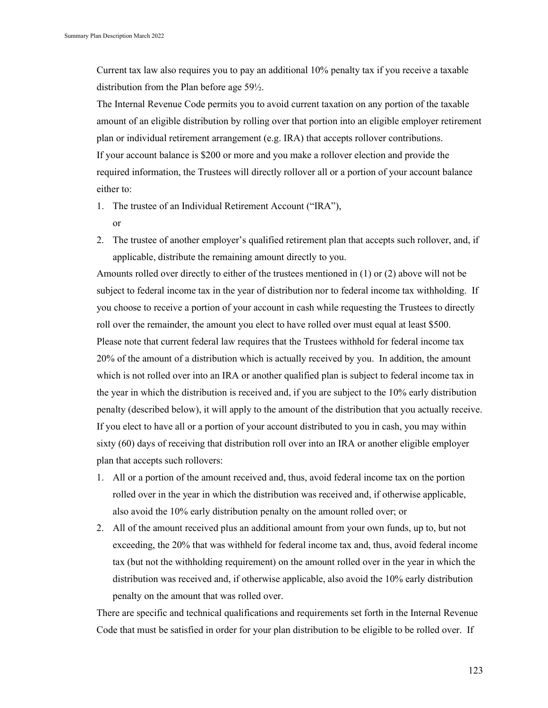Current tax law also requires you to pay an additional 10% penalty tax if you receive a taxable distribution from the Plan before age 59½.

The Internal Revenue Code permits you to avoid current taxation on any portion of the taxable amount of an eligible distribution by rolling over that portion into an eligible employer retirement plan or individual retirement arrangement (e.g. IRA) that accepts rollover contributions. If your account balance is \$200 or more and you make a rollover election and provide the required information, the Trustees will directly rollover all or a portion of your account balance either to:

- 1. The trustee of an Individual Retirement Account ("IRA"), or
- 2. The trustee of another employer's qualified retirement plan that accepts such rollover, and, if applicable, distribute the remaining amount directly to you.

Amounts rolled over directly to either of the trustees mentioned in (1) or (2) above will not be subject to federal income tax in the year of distribution nor to federal income tax withholding. If you choose to receive a portion of your account in cash while requesting the Trustees to directly roll over the remainder, the amount you elect to have rolled over must equal at least \$500. Please note that current federal law requires that the Trustees withhold for federal income tax 20% of the amount of a distribution which is actually received by you. In addition, the amount which is not rolled over into an IRA or another qualified plan is subject to federal income tax in the year in which the distribution is received and, if you are subject to the 10% early distribution penalty (described below), it will apply to the amount of the distribution that you actually receive. If you elect to have all or a portion of your account distributed to you in cash, you may within sixty (60) days of receiving that distribution roll over into an IRA or another eligible employer plan that accepts such rollovers:

- 1. All or a portion of the amount received and, thus, avoid federal income tax on the portion rolled over in the year in which the distribution was received and, if otherwise applicable, also avoid the 10% early distribution penalty on the amount rolled over; or
- 2. All of the amount received plus an additional amount from your own funds, up to, but not exceeding, the 20% that was withheld for federal income tax and, thus, avoid federal income tax (but not the withholding requirement) on the amount rolled over in the year in which the distribution was received and, if otherwise applicable, also avoid the 10% early distribution penalty on the amount that was rolled over.

There are specific and technical qualifications and requirements set forth in the Internal Revenue Code that must be satisfied in order for your plan distribution to be eligible to be rolled over. If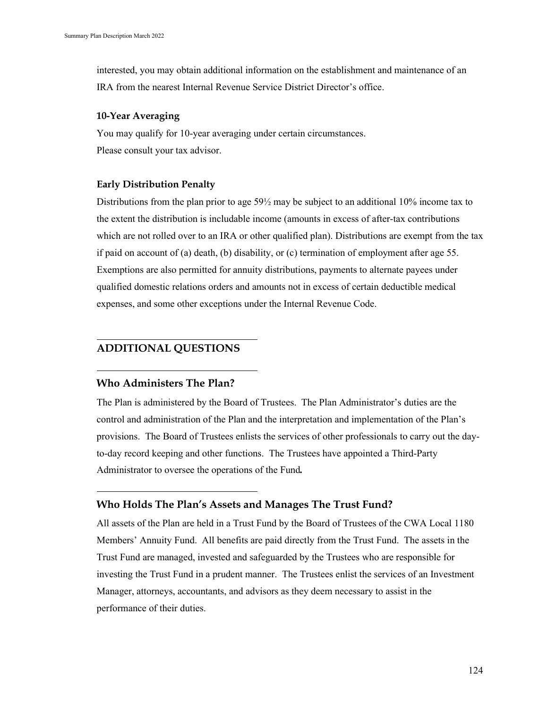interested, you may obtain additional information on the establishment and maintenance of an IRA from the nearest Internal Revenue Service District Director's office.

#### **10-Year Averaging**

You may qualify for 10-year averaging under certain circumstances. Please consult your tax advisor.

## **Early Distribution Penalty**

Distributions from the plan prior to age 59½ may be subject to an additional 10% income tax to the extent the distribution is includable income (amounts in excess of after-tax contributions which are not rolled over to an IRA or other qualified plan). Distributions are exempt from the tax if paid on account of (a) death, (b) disability, or (c) termination of employment after age 55. Exemptions are also permitted for annuity distributions, payments to alternate payees under qualified domestic relations orders and amounts not in excess of certain deductible medical expenses, and some other exceptions under the Internal Revenue Code.

# **ADDITIONAL QUESTIONS**

## **Who Administers The Plan?**

The Plan is administered by the Board of Trustees. The Plan Administrator's duties are the control and administration of the Plan and the interpretation and implementation of the Plan's provisions. The Board of Trustees enlists the services of other professionals to carry out the dayto-day record keeping and other functions. The Trustees have appointed a Third-Party Administrator to oversee the operations of the Fund*.*

## **Who Holds The Plan's Assets and Manages The Trust Fund?**

All assets of the Plan are held in a Trust Fund by the Board of Trustees of the CWA Local 1180 Members' Annuity Fund. All benefits are paid directly from the Trust Fund. The assets in the Trust Fund are managed, invested and safeguarded by the Trustees who are responsible for investing the Trust Fund in a prudent manner. The Trustees enlist the services of an Investment Manager, attorneys, accountants, and advisors as they deem necessary to assist in the performance of their duties.